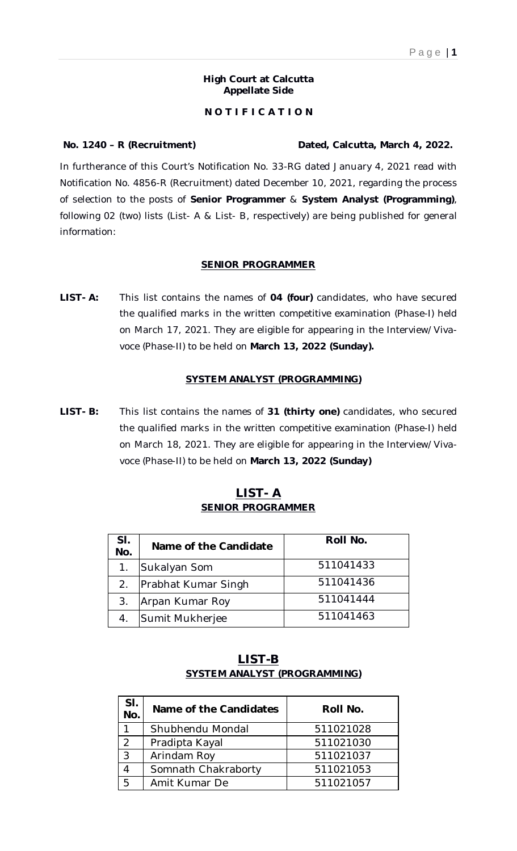#### **High Court at Calcutta Appellate Side**

# **N O T I F I C A T I O N**

In furtherance of this Court's Notification No. 33-RG dated January 4, 2021 read with Notification No. 4856-R (Recruitment) dated December 10, 2021, regarding the process of selection to the posts of **Senior Programmer** & **System Analyst (Programming)**, following 02 (two) lists (List- A & List- B, respectively) are being published for general information:

## **SENIOR PROGRAMMER**

**LIST- A:** This list contains the names of **04 (four)** candidates, who have secured the qualified marks in the written competitive examination (Phase-I) held on March 17, 2021. They are eligible for appearing in the Interview/Vivavoce (Phase-II) to be held on **March 13, 2022 (Sunday).**

### **SYSTEM ANALYST (PROGRAMMING)**

**LIST- B:** This list contains the names of **31 (thirty one)** candidates, who secured the qualified marks in the written competitive examination (Phase-I) held on March 18, 2021. They are eligible for appearing in the Interview/Vivavoce (Phase-II) to be held on **March 13, 2022 (Sunday)** 

| SI.<br>No. | Name of the Candidate  | Roll No.  |
|------------|------------------------|-----------|
| 1.         | Sukalyan Som           | 511041433 |
|            | 2. Prabhat Kumar Singh | 511041436 |
| 3.         | Arpan Kumar Roy        | 511041444 |
|            | Sumit Mukherjee        | 511041463 |

# **LIST- A SENIOR PROGRAMMER**

| LIST-B                       |  |
|------------------------------|--|
| SYSTEM ANALYST (PROGRAMMING) |  |

| SI.<br>No. | Name of the Candidates | Roll No.  |
|------------|------------------------|-----------|
|            | Shubhendu Mondal       | 511021028 |
| 2          | Pradipta Kayal         | 511021030 |
| 3          | Arindam Roy            | 511021037 |
|            | Somnath Chakraborty    | 511021053 |
| 5          | Amit Kumar De          | 511021057 |

# **No. 1240 – R (Recruitment) Dated, Calcutta, March 4, 2022.**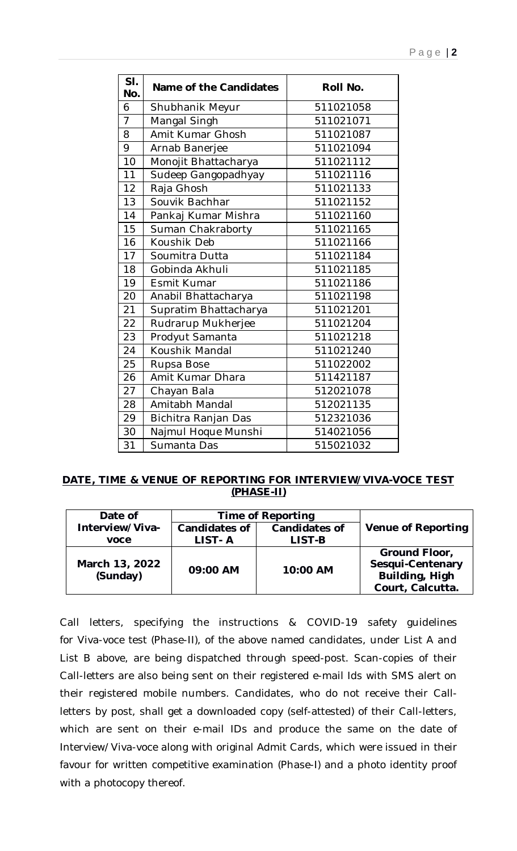| SI.<br>No.                | Name of the Candidates | Roll No.  |  |
|---------------------------|------------------------|-----------|--|
| 6                         | Shubhanik Meyur        | 511021058 |  |
| $\overline{7}$            | Mangal Singh           | 511021071 |  |
| 8                         | Amit Kumar Ghosh       | 511021087 |  |
| 9                         | Arnab Banerjee         | 511021094 |  |
| 10                        | Monojit Bhattacharya   | 511021112 |  |
| 11                        | Sudeep Gangopadhyay    | 511021116 |  |
| 12                        | Raja Ghosh             | 511021133 |  |
| 13                        | Souvik Bachhar         | 511021152 |  |
| 14                        | Pankaj Kumar Mishra    | 511021160 |  |
| 15                        | Suman Chakraborty      | 511021165 |  |
| 16                        | Koushik Deb            | 511021166 |  |
| 17                        | Soumitra Dutta         | 511021184 |  |
| 18                        | Gobinda Akhuli         | 511021185 |  |
| 19                        | Esmit Kumar            | 511021186 |  |
| 20                        | Anabil Bhattacharya    | 511021198 |  |
| 21                        | Supratim Bhattacharya  | 511021201 |  |
| 22                        | Rudrarup Mukherjee     | 511021204 |  |
| 23                        | Prodyut Samanta        | 511021218 |  |
| 24                        | Koushik Mandal         | 511021240 |  |
| 25                        | Rupsa Bose             | 511022002 |  |
| 26                        | Amit Kumar Dhara       | 511421187 |  |
| 27                        | Chayan Bala            | 512021078 |  |
| 28                        | Amitabh Mandal         | 512021135 |  |
| 29                        | Bichitra Ranjan Das    | 512321036 |  |
| 30<br>Najmul Hoque Munshi |                        | 514021056 |  |
| 31                        | Sumanta Das            | 515021032 |  |

## **DATE, TIME & VENUE OF REPORTING FOR INTERVIEW/VIVA-VOCE TEST (PHASE-II)**

| Date of                    | Time of Reporting       |                                |                                                                         |
|----------------------------|-------------------------|--------------------------------|-------------------------------------------------------------------------|
| Interview/Viva-<br>voce    | Candidates of<br>LIST-A | <b>Candidates of</b><br>LIST-B | <b>Venue of Reporting</b>                                               |
| March 13, 2022<br>(Sunday) | 09:00 AM                | 10:00 AM                       | Ground Floor,<br>Sesqui-Centenary<br>Building, High<br>Court, Calcutta. |

Call letters, specifying the instructions & COVID-19 safety guidelines for Viva-voce test (Phase-II), of the above named candidates, under List A and List B above, are being dispatched through speed-post. Scan-copies of their Call-letters are also being sent on their registered e-mail Ids with SMS alert on their registered mobile numbers. Candidates, who do not receive their Callletters by post, shall get a downloaded copy (self-attested) of their Call-letters, which are sent on their e-mail IDs and produce the same on the date of Interview/Viva-voce along with original Admit Cards, which were issued in their favour for written competitive examination (Phase-I) and a photo identity proof with a photocopy thereof.